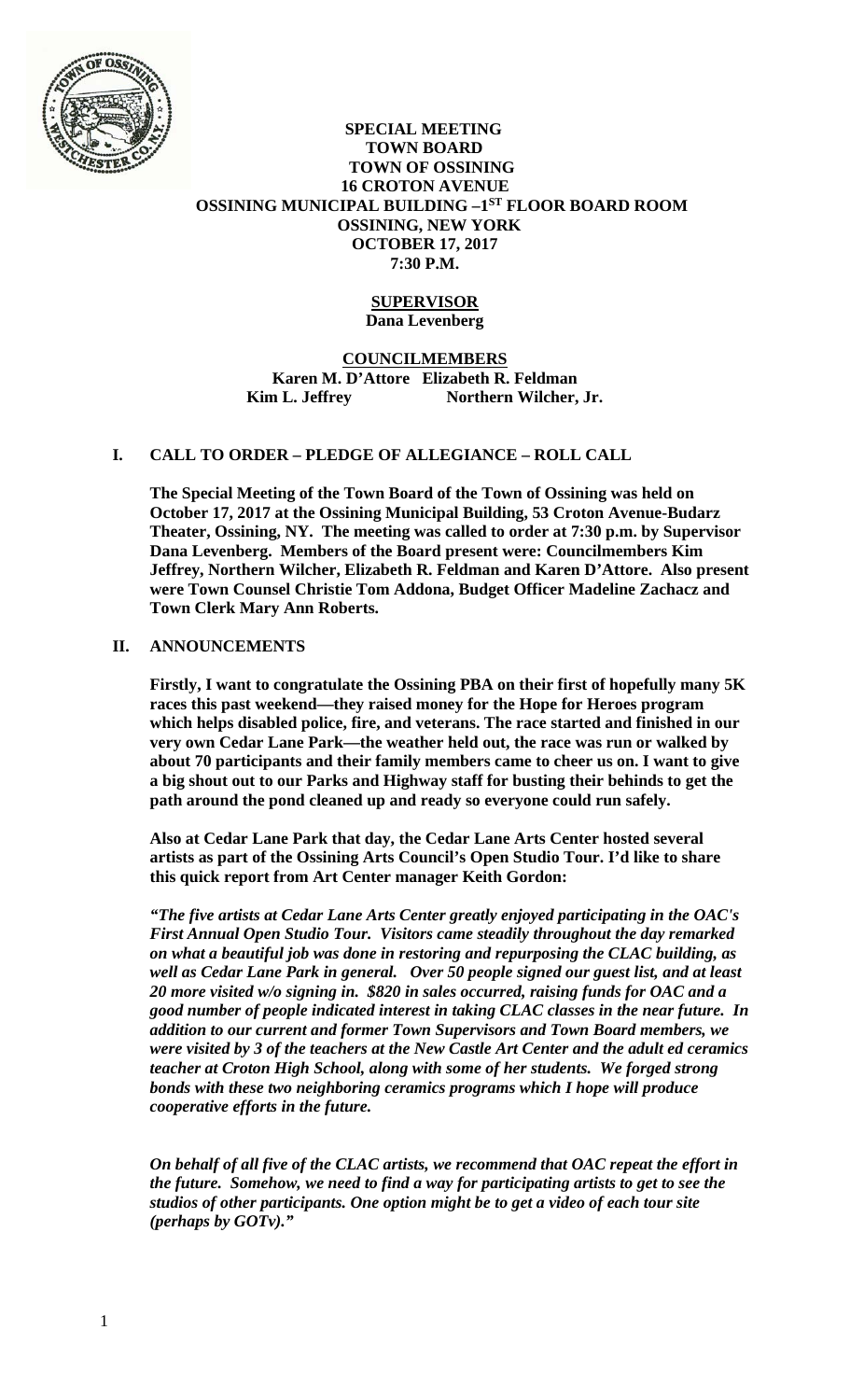

## **SPECIAL MEETING TOWN BOARD TOWN OF OSSINING 16 CROTON AVENUE OSSINING MUNICIPAL BUILDING –1ST FLOOR BOARD ROOM OSSINING, NEW YORK OCTOBER 17, 2017 7:30 P.M.**

### **SUPERVISOR Dana Levenberg**

**COUNCILMEMBERS Karen M. D'Attore Elizabeth R. Feldman**  Kim L. Jeffrey Northern Wilcher, Jr.

# **I. CALL TO ORDER – PLEDGE OF ALLEGIANCE – ROLL CALL**

**The Special Meeting of the Town Board of the Town of Ossining was held on October 17, 2017 at the Ossining Municipal Building, 53 Croton Avenue-Budarz Theater, Ossining, NY. The meeting was called to order at 7:30 p.m. by Supervisor Dana Levenberg. Members of the Board present were: Councilmembers Kim Jeffrey, Northern Wilcher, Elizabeth R. Feldman and Karen D'Attore. Also present were Town Counsel Christie Tom Addona, Budget Officer Madeline Zachacz and Town Clerk Mary Ann Roberts.** 

# **II. ANNOUNCEMENTS**

**Firstly, I want to congratulate the Ossining PBA on their first of hopefully many 5K races this past weekend—they raised money for the Hope for Heroes program which helps disabled police, fire, and veterans. The race started and finished in our very own Cedar Lane Park—the weather held out, the race was run or walked by about 70 participants and their family members came to cheer us on. I want to give a big shout out to our Parks and Highway staff for busting their behinds to get the path around the pond cleaned up and ready so everyone could run safely.** 

**Also at Cedar Lane Park that day, the Cedar Lane Arts Center hosted several artists as part of the Ossining Arts Council's Open Studio Tour. I'd like to share this quick report from Art Center manager Keith Gordon:** 

*"The five artists at Cedar Lane Arts Center greatly enjoyed participating in the OAC's First Annual Open Studio Tour. Visitors came steadily throughout the day remarked on what a beautiful job was done in restoring and repurposing the CLAC building, as well as Cedar Lane Park in general. Over 50 people signed our guest list, and at least 20 more visited w/o signing in. \$820 in sales occurred, raising funds for OAC and a good number of people indicated interest in taking CLAC classes in the near future. In addition to our current and former Town Supervisors and Town Board members, we were visited by 3 of the teachers at the New Castle Art Center and the adult ed ceramics teacher at Croton High School, along with some of her students. We forged strong bonds with these two neighboring ceramics programs which I hope will produce cooperative efforts in the future.* 

*On behalf of all five of the CLAC artists, we recommend that OAC repeat the effort in the future. Somehow, we need to find a way for participating artists to get to see the studios of other participants. One option might be to get a video of each tour site (perhaps by GOTv)."*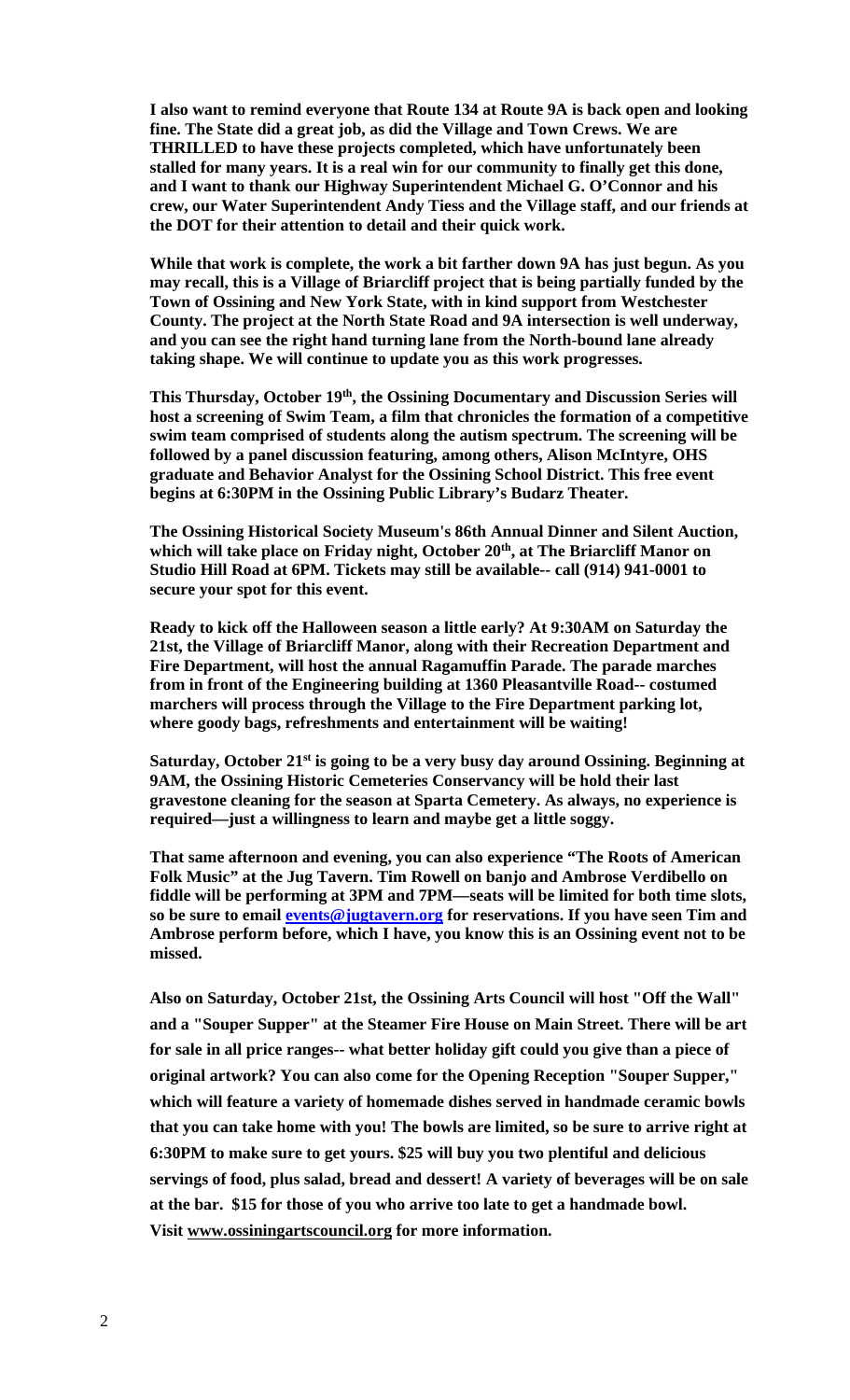**I also want to remind everyone that Route 134 at Route 9A is back open and looking fine. The State did a great job, as did the Village and Town Crews. We are THRILLED to have these projects completed, which have unfortunately been stalled for many years. It is a real win for our community to finally get this done, and I want to thank our Highway Superintendent Michael G. O'Connor and his crew, our Water Superintendent Andy Tiess and the Village staff, and our friends at the DOT for their attention to detail and their quick work.** 

**While that work is complete, the work a bit farther down 9A has just begun. As you may recall, this is a Village of Briarcliff project that is being partially funded by the Town of Ossining and New York State, with in kind support from Westchester County. The project at the North State Road and 9A intersection is well underway, and you can see the right hand turning lane from the North-bound lane already taking shape. We will continue to update you as this work progresses.** 

**This Thursday, October 19th, the Ossining Documentary and Discussion Series will host a screening of Swim Team, a film that chronicles the formation of a competitive swim team comprised of students along the autism spectrum. The screening will be followed by a panel discussion featuring, among others, Alison McIntyre, OHS graduate and Behavior Analyst for the Ossining School District. This free event begins at 6:30PM in the Ossining Public Library's Budarz Theater.** 

**The Ossining Historical Society Museum's 86th Annual Dinner and Silent Auction,**  which will take place on Friday night, October 20<sup>th</sup>, at The Briarcliff Manor on **Studio Hill Road at 6PM. Tickets may still be available-- call (914) 941-0001 to secure your spot for this event.** 

**Ready to kick off the Halloween season a little early? At 9:30AM on Saturday the 21st, the Village of Briarcliff Manor, along with their Recreation Department and Fire Department, will host the annual Ragamuffin Parade. The parade marches from in front of the Engineering building at 1360 Pleasantville Road-- costumed marchers will process through the Village to the Fire Department parking lot, where goody bags, refreshments and entertainment will be waiting!** 

**Saturday, October 21st is going to be a very busy day around Ossining. Beginning at 9AM, the Ossining Historic Cemeteries Conservancy will be hold their last gravestone cleaning for the season at Sparta Cemetery. As always, no experience is required—just a willingness to learn and maybe get a little soggy.** 

**That same afternoon and evening, you can also experience "The Roots of American Folk Music" at the Jug Tavern. Tim Rowell on banjo and Ambrose Verdibello on fiddle will be performing at 3PM and 7PM—seats will be limited for both time slots, so be sure to email events@jugtavern.org for reservations. If you have seen Tim and Ambrose perform before, which I have, you know this is an Ossining event not to be missed.** 

**Also on Saturday, October 21st, the Ossining Arts Council will host "Off the Wall" and a "Souper Supper" at the Steamer Fire House on Main Street. There will be art for sale in all price ranges-- what better holiday gift could you give than a piece of original artwork? You can also come for the Opening Reception "Souper Supper," which will feature a variety of homemade dishes served in handmade ceramic bowls that you can take home with you! The bowls are limited, so be sure to arrive right at 6:30PM to make sure to get yours. \$25 will buy you two plentiful and delicious servings of food, plus salad, bread and dessert! A variety of beverages will be on sale at the bar. \$15 for those of you who arrive too late to get a handmade bowl. Visit www.ossiningartscouncil.org for more information.**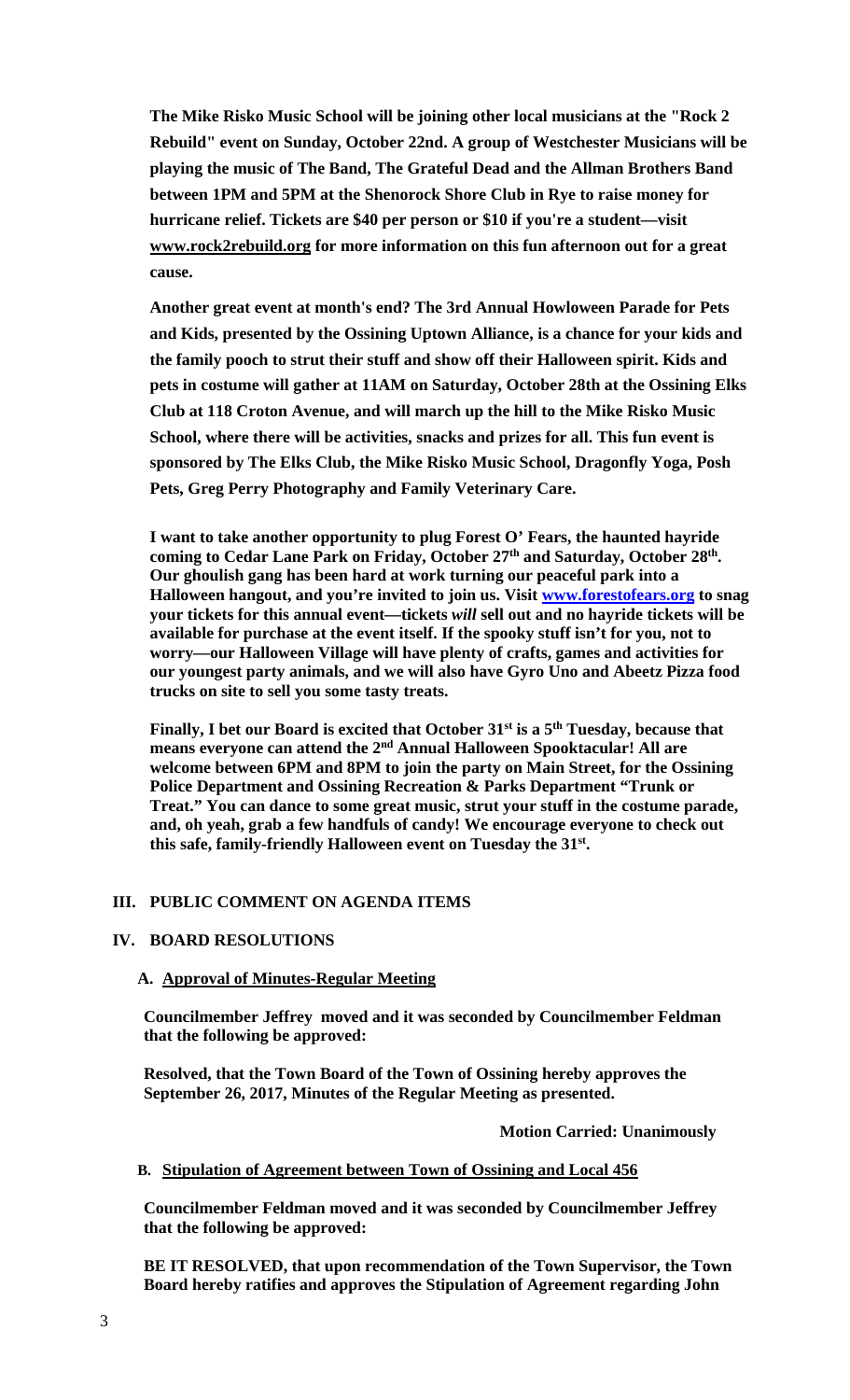**The Mike Risko Music School will be joining other local musicians at the "Rock 2 Rebuild" event on Sunday, October 22nd. A group of Westchester Musicians will be playing the music of The Band, The Grateful Dead and the Allman Brothers Band between 1PM and 5PM at the Shenorock Shore Club in Rye to raise money for hurricane relief. Tickets are \$40 per person or \$10 if you're a student—visit www.rock2rebuild.org for more information on this fun afternoon out for a great cause.** 

**Another great event at month's end? The 3rd Annual Howloween Parade for Pets and Kids, presented by the Ossining Uptown Alliance, is a chance for your kids and the family pooch to strut their stuff and show off their Halloween spirit. Kids and pets in costume will gather at 11AM on Saturday, October 28th at the Ossining Elks Club at 118 Croton Avenue, and will march up the hill to the Mike Risko Music School, where there will be activities, snacks and prizes for all. This fun event is sponsored by The Elks Club, the Mike Risko Music School, Dragonfly Yoga, Posh Pets, Greg Perry Photography and Family Veterinary Care.**

**I want to take another opportunity to plug Forest O' Fears, the haunted hayride**  coming to Cedar Lane Park on Friday, October 27<sup>th</sup> and Saturday, October 28<sup>th</sup>. **Our ghoulish gang has been hard at work turning our peaceful park into a Halloween hangout, and you're invited to join us. Visit www.forestofears.org to snag your tickets for this annual event—tickets** *will* **sell out and no hayride tickets will be available for purchase at the event itself. If the spooky stuff isn't for you, not to worry—our Halloween Village will have plenty of crafts, games and activities for our youngest party animals, and we will also have Gyro Uno and Abeetz Pizza food trucks on site to sell you some tasty treats.** 

Finally, I bet our Board is excited that October 31<sup>st</sup> is a 5<sup>th</sup> Tuesday, because that **means everyone can attend the 2nd Annual Halloween Spooktacular! All are welcome between 6PM and 8PM to join the party on Main Street, for the Ossining Police Department and Ossining Recreation & Parks Department "Trunk or Treat." You can dance to some great music, strut your stuff in the costume parade, and, oh yeah, grab a few handfuls of candy! We encourage everyone to check out this safe, family-friendly Halloween event on Tuesday the 31st.** 

## **III. PUBLIC COMMENT ON AGENDA ITEMS**

# **IV. BOARD RESOLUTIONS**

## **A. Approval of Minutes-Regular Meeting**

**Councilmember Jeffrey moved and it was seconded by Councilmember Feldman that the following be approved:** 

**Resolved, that the Town Board of the Town of Ossining hereby approves the September 26, 2017, Minutes of the Regular Meeting as presented.** 

#### **Motion Carried: Unanimously**

#### **B. Stipulation of Agreement between Town of Ossining and Local 456**

**Councilmember Feldman moved and it was seconded by Councilmember Jeffrey that the following be approved:** 

**BE IT RESOLVED, that upon recommendation of the Town Supervisor, the Town Board hereby ratifies and approves the Stipulation of Agreement regarding John**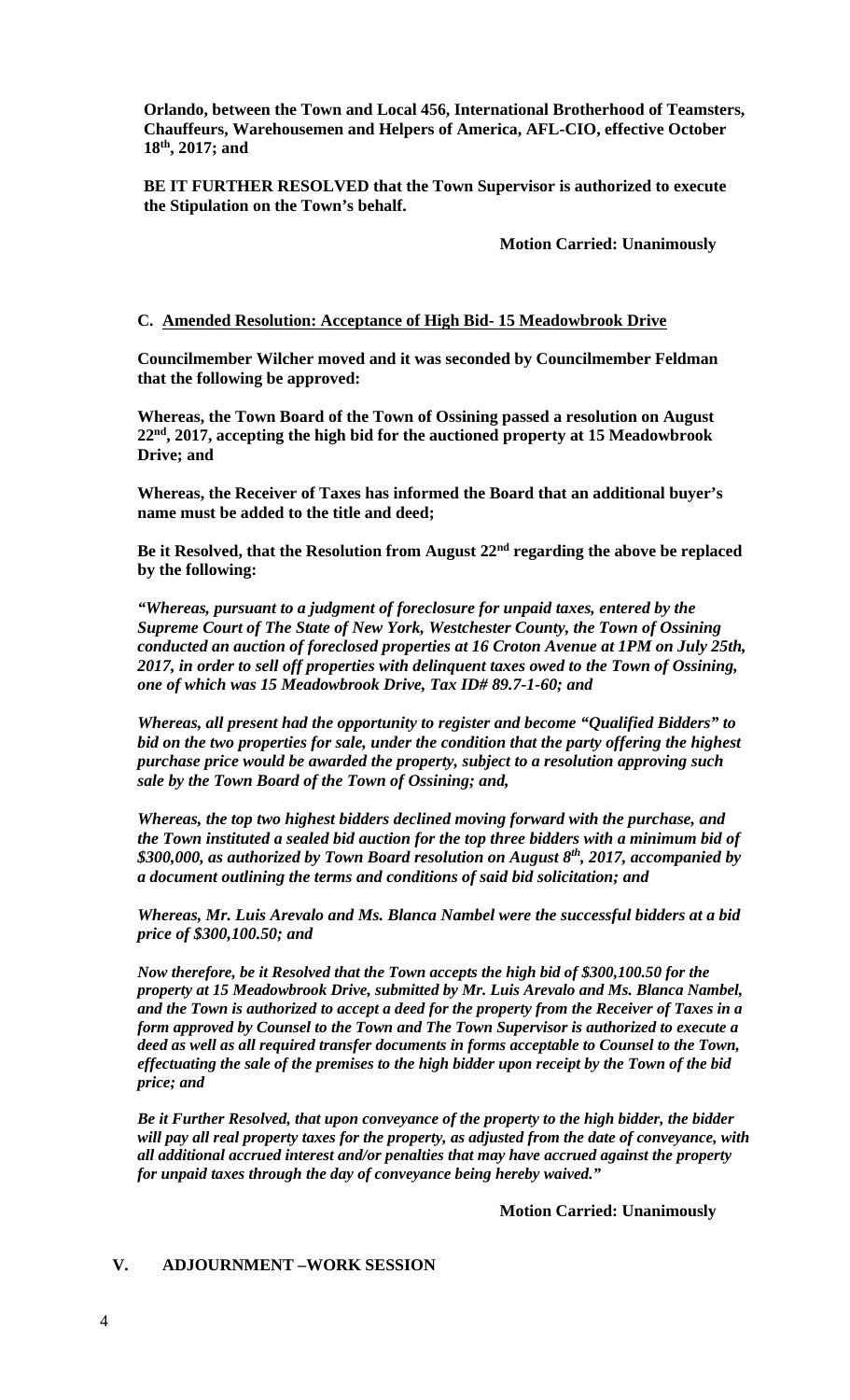**Orlando, between the Town and Local 456, International Brotherhood of Teamsters, Chauffeurs, Warehousemen and Helpers of America, AFL-CIO, effective October 18th, 2017; and** 

**BE IT FURTHER RESOLVED that the Town Supervisor is authorized to execute the Stipulation on the Town's behalf.** 

 **Motion Carried: Unanimously** 

#### **C. Amended Resolution: Acceptance of High Bid- 15 Meadowbrook Drive**

**Councilmember Wilcher moved and it was seconded by Councilmember Feldman that the following be approved:** 

**Whereas, the Town Board of the Town of Ossining passed a resolution on August 22nd, 2017, accepting the high bid for the auctioned property at 15 Meadowbrook Drive; and** 

**Whereas, the Receiver of Taxes has informed the Board that an additional buyer's name must be added to the title and deed;** 

**Be it Resolved, that the Resolution from August 22nd regarding the above be replaced by the following:** 

*"Whereas, pursuant to a judgment of foreclosure for unpaid taxes, entered by the Supreme Court of The State of New York, Westchester County, the Town of Ossining conducted an auction of foreclosed properties at 16 Croton Avenue at 1PM on July 25th, 2017, in order to sell off properties with delinquent taxes owed to the Town of Ossining, one of which was 15 Meadowbrook Drive, Tax ID# 89.7-1-60; and* 

*Whereas, all present had the opportunity to register and become "Qualified Bidders" to bid on the two properties for sale, under the condition that the party offering the highest purchase price would be awarded the property, subject to a resolution approving such sale by the Town Board of the Town of Ossining; and,* 

*Whereas, the top two highest bidders declined moving forward with the purchase, and the Town instituted a sealed bid auction for the top three bidders with a minimum bid of \$300,000, as authorized by Town Board resolution on August 8th, 2017, accompanied by a document outlining the terms and conditions of said bid solicitation; and* 

*Whereas, Mr. Luis Arevalo and Ms. Blanca Nambel were the successful bidders at a bid price of \$300,100.50; and* 

*Now therefore, be it Resolved that the Town accepts the high bid of \$300,100.50 for the property at 15 Meadowbrook Drive, submitted by Mr. Luis Arevalo and Ms. Blanca Nambel, and the Town is authorized to accept a deed for the property from the Receiver of Taxes in a form approved by Counsel to the Town and The Town Supervisor is authorized to execute a deed as well as all required transfer documents in forms acceptable to Counsel to the Town, effectuating the sale of the premises to the high bidder upon receipt by the Town of the bid price; and*

*Be it Further Resolved, that upon conveyance of the property to the high bidder, the bidder will pay all real property taxes for the property, as adjusted from the date of conveyance, with all additional accrued interest and/or penalties that may have accrued against the property for unpaid taxes through the day of conveyance being hereby waived."* 

**Motion Carried: Unanimously**

### **V. ADJOURNMENT –WORK SESSION**